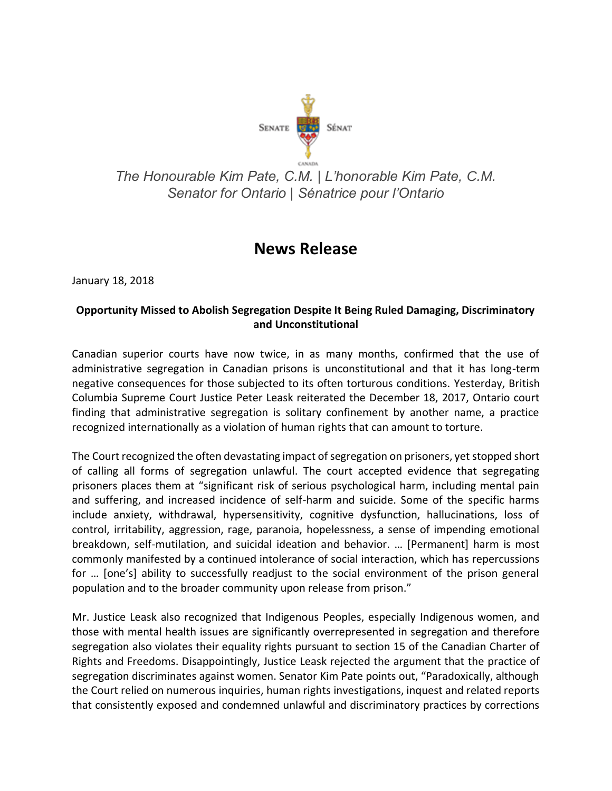

## *The Honourable Kim Pate, C.M. | L'honorable Kim Pate, C.M. Senator for Ontario | Sénatrice pour l'Ontario*

## **News Release**

January 18, 2018

## **Opportunity Missed to Abolish Segregation Despite It Being Ruled Damaging, Discriminatory and Unconstitutional**

Canadian superior courts have now twice, in as many months, confirmed that the use of administrative segregation in Canadian prisons is unconstitutional and that it has long-term negative consequences for those subjected to its often torturous conditions. Yesterday, British Columbia Supreme Court Justice Peter Leask reiterated the December 18, 2017, Ontario court finding that administrative segregation is solitary confinement by another name, a practice recognized internationally as a violation of human rights that can amount to torture.

The Court recognized the often devastating impact of segregation on prisoners, yet stopped short of calling all forms of segregation unlawful. The court accepted evidence that segregating prisoners places them at "significant risk of serious psychological harm, including mental pain and suffering, and increased incidence of self-harm and suicide. Some of the specific harms include anxiety, withdrawal, hypersensitivity, cognitive dysfunction, hallucinations, loss of control, irritability, aggression, rage, paranoia, hopelessness, a sense of impending emotional breakdown, self-mutilation, and suicidal ideation and behavior. … [Permanent] harm is most commonly manifested by a continued intolerance of social interaction, which has repercussions for … [one's] ability to successfully readjust to the social environment of the prison general population and to the broader community upon release from prison."

Mr. Justice Leask also recognized that Indigenous Peoples, especially Indigenous women, and those with mental health issues are significantly overrepresented in segregation and therefore segregation also violates their equality rights pursuant to section 15 of the Canadian Charter of Rights and Freedoms. Disappointingly, Justice Leask rejected the argument that the practice of segregation discriminates against women. Senator Kim Pate points out, "Paradoxically, although the Court relied on numerous inquiries, human rights investigations, inquest and related reports that consistently exposed and condemned unlawful and discriminatory practices by corrections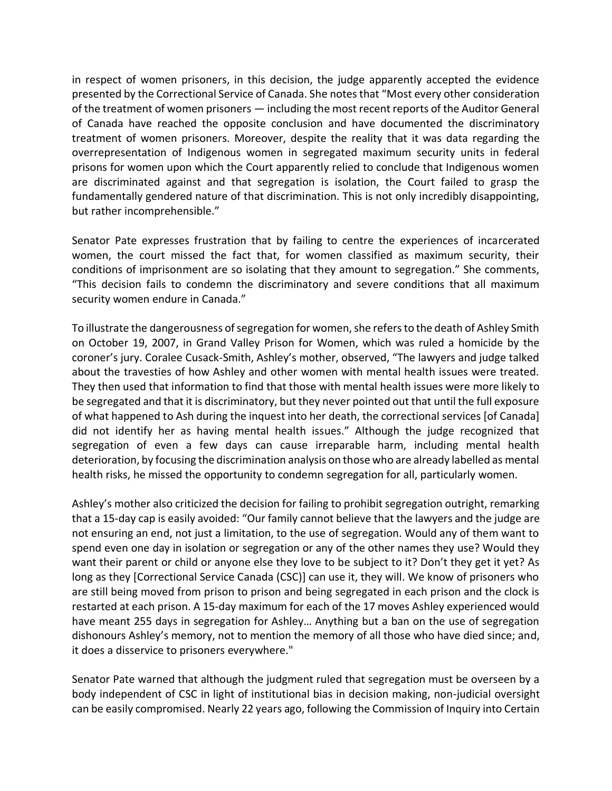in respect of women prisoners, in this decision, the judge apparently accepted the evidence presented by the Correctional Service of Canada. She notes that "Most every other consideration of the treatment of women prisoners — including the most recent reports of the Auditor General of Canada have reached the opposite conclusion and have documented the discriminatory treatment of women prisoners. Moreover, despite the reality that it was data regarding the overrepresentation of Indigenous women in segregated maximum security units in federal prisons for women upon which the Court apparently relied to conclude that Indigenous women are discriminated against and that segregation is isolation, the Court failed to grasp the fundamentally gendered nature of that discrimination. This is not only incredibly disappointing, but rather incomprehensible."

Senator Pate expresses frustration that by failing to centre the experiences of incarcerated women, the court missed the fact that, for women classified as maximum security, their conditions of imprisonment are so isolating that they amount to segregation." She comments, "This decision fails to condemn the discriminatory and severe conditions that all maximum security women endure in Canada."

To illustrate the dangerousness of segregation for women, she refers to the death of Ashley Smith on October 19, 2007, in Grand Valley Prison for Women, which was ruled a homicide by the coroner's jury. Coralee Cusack-Smith, Ashley's mother, observed, "The lawyers and judge talked about the travesties of how Ashley and other women with mental health issues were treated. They then used that information to find that those with mental health issues were more likely to be segregated and that it is discriminatory, but they never pointed out that until the full exposure of what happened to Ash during the inquest into her death, the correctional services [of Canada] did not identify her as having mental health issues." Although the judge recognized that segregation of even a few days can cause irreparable harm, including mental health deterioration, by focusing the discrimination analysis on those who are already labelled as mental health risks, he missed the opportunity to condemn segregation for all, particularly women.

Ashley's mother also criticized the decision for failing to prohibit segregation outright, remarking that a 15-day cap is easily avoided: "Our family cannot believe that the lawyers and the judge are not ensuring an end, not just a limitation, to the use of segregation. Would any of them want to spend even one day in isolation or segregation or any of the other names they use? Would they want their parent or child or anyone else they love to be subject to it? Don't they get it yet? As long as they [Correctional Service Canada (CSC)] can use it, they will. We know of prisoners who are still being moved from prison to prison and being segregated in each prison and the clock is restarted at each prison. A 15-day maximum for each of the 17 moves Ashley experienced would have meant 255 days in segregation for Ashley… Anything but a ban on the use of segregation dishonours Ashley's memory, not to mention the memory of all those who have died since; and, it does a disservice to prisoners everywhere."

Senator Pate warned that although the judgment ruled that segregation must be overseen by a body independent of CSC in light of institutional bias in decision making, non-judicial oversight can be easily compromised. Nearly 22 years ago, following the Commission of Inquiry into Certain